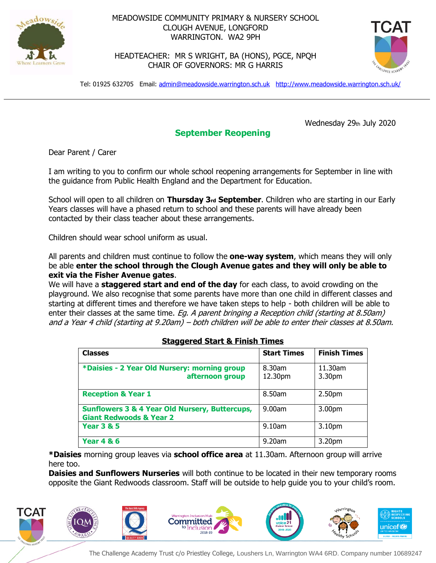

## MEADOWSIDE COMMUNITY PRIMARY & NURSERY SCHOOL CLOUGH AVENUE, LONGFORD WARRINGTON. WA2 9PH

HEADTEACHER: MR S WRIGHT, BA (HONS), PGCE, NPQH CHAIR OF GOVERNORS: MR G HARRIS



Tel: 01925 632705 Email: [admin@meadowside.warrington.sch.uk](mailto:admin@meadowside.warrington.sch.uk) <http://www.meadowside.warrington.sch.uk/>

Wednesday 29th July 2020

## **September Reopening**

Dear Parent / Carer

I am writing to you to confirm our whole school reopening arrangements for September in line with the guidance from Public Health England and the Department for Education.

School will open to all children on **Thursday 3rd September**. Children who are starting in our Early Years classes will have a phased return to school and these parents will have already been contacted by their class teacher about these arrangements.

Children should wear school uniform as usual.

All parents and children must continue to follow the **one-way system**, which means they will only be able **enter the school through the Clough Avenue gates and they will only be able to exit via the Fisher Avenue gates**.

We will have a **staggered start and end of the day** for each class, to avoid crowding on the playground. We also recognise that some parents have more than one child in different classes and starting at different times and therefore we have taken steps to help - both children will be able to enter their classes at the same time. Eg. A parent bringing a Reception child (starting at 8.50am) and a Year 4 child (starting at 9.20am) – both children will be able to enter their classes at 8.50am.

| <b>Classes</b>                                                                                  | <b>Start Times</b> | <b>Finish Times</b> |
|-------------------------------------------------------------------------------------------------|--------------------|---------------------|
| *Daisies - 2 Year Old Nursery: morning group<br>afternoon group                                 | 8.30am<br>12.30pm  | 11.30am<br>3.30pm   |
| <b>Reception &amp; Year 1</b>                                                                   | 8.50am             | 2.50pm              |
| <b>Sunflowers 3 &amp; 4 Year Old Nursery, Buttercups,</b><br><b>Giant Redwoods &amp; Year 2</b> | 9.00am             | 3.00pm              |
| <b>Year 3 &amp; 5</b>                                                                           | 9.10am             | 3.10pm              |
| <b>Year 4 &amp; 6</b>                                                                           | 9.20am             | 3.20pm              |

## **Staggered Start & Finish Times**

**\*Daisies** morning group leaves via **school office area** at 11.30am. Afternoon group will arrive here too.

**Daisies and Sunflowers Nurseries** will both continue to be located in their new temporary rooms opposite the Giant Redwoods classroom. Staff will be outside to help guide you to your child's room.

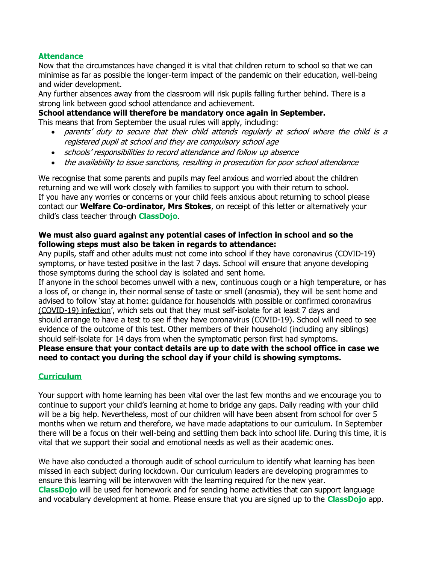#### **Attendance**

Now that the circumstances have changed it is vital that children return to school so that we can minimise as far as possible the longer-term impact of the pandemic on their education, well-being and wider development.

Any further absences away from the classroom will risk pupils falling further behind. There is a strong link between good school attendance and achievement.

# **School attendance will therefore be mandatory once again in September.**

This means that from September the usual rules will apply, including:

- parents' duty to secure that their child attends regularly at school where the child is a registered pupil at school and they are compulsory school age
- schools' responsibilities to record attendance and follow up absence
- the availability to issue sanctions, resulting in prosecution for poor school attendance

We recognise that some parents and pupils may feel anxious and worried about the children returning and we will work closely with families to support you with their return to school. If you have any worries or concerns or your child feels anxious about returning to school please contact our **Welfare Co-ordinator, Mrs Stokes**, on receipt of this letter or alternatively your child's class teacher through **ClassDojo**.

#### **We must also guard against any potential cases of infection in school and so the following steps must also be taken in regards to attendance:**

Any pupils, staff and other adults must not come into school if they have coronavirus [\(COVID-19\)](https://www.gov.uk/guidance/nhs-test-and-trace-how-it-works#people-who-develop-symptoms-of-coronavirus) [symptoms,](https://www.gov.uk/guidance/nhs-test-and-trace-how-it-works#people-who-develop-symptoms-of-coronavirus) or have tested positive in the last 7 days. School will ensure that anyone developing those symptoms during the school day is isolated and sent home.

If anyone in the school becomes unwell with a new, continuous cough or a high temperature, or has a loss of, or change in, their normal sense of taste or smell (anosmia), they will be sent home and advised to follow 'stay at home: guidance for households with possible or confirmed [coronavirus](https://www.gov.uk/government/publications/covid-19-stay-at-home-guidance) [\(COVID-19\)](https://www.gov.uk/government/publications/covid-19-stay-at-home-guidance) infection', which sets out that they must self-isolate for at least 7 days and should [arrange](https://www.gov.uk/guidance/coronavirus-covid-19-getting-tested) to have a test to see if they have coronavirus (COVID-19). School will need to see evidence of the outcome of this test. Other members of their household (including any siblings) should self-isolate for 14 days from when the symptomatic person first had symptoms. **Please ensure that your contact details are up to date with the school office in case we need to contact you during the school day if your child is showing symptoms.**

#### **Curriculum**

Your support with home learning has been vital over the last few months and we encourage you to continue to support your child's learning at home to bridge any gaps. Daily reading with your child will be a big help. Nevertheless, most of our children will have been absent from school for over 5 months when we return and therefore, we have made adaptations to our curriculum. In September there will be a focus on their well-being and settling them back into school life. During this time, it is vital that we support their social and emotional needs as well as their academic ones.

We have also conducted a thorough audit of school curriculum to identify what learning has been missed in each subject during lockdown. Our curriculum leaders are developing programmes to ensure this learning will be interwoven with the learning required for the new year. **ClassDojo** will be used for homework and for sending home activities that can support language and vocabulary development at home. Please ensure that you are signed up to the **ClassDojo** app.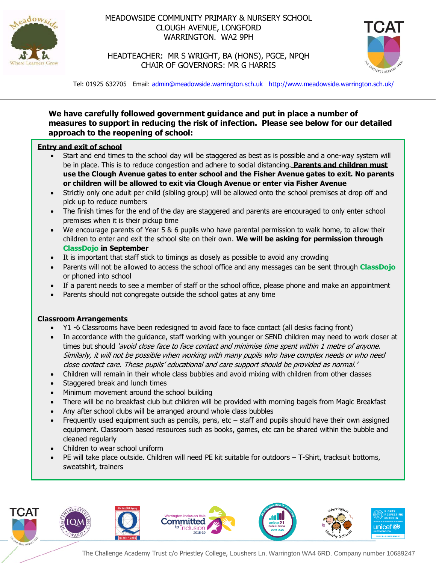

## MEADOWSIDE COMMUNITY PRIMARY & NURSERY SCHOOL CLOUGH AVENUE, LONGFORD WARRINGTON. WA2 9PH



HEADTEACHER: MR S WRIGHT, BA (HONS), PGCE, NPQH CHAIR OF GOVERNORS: MR G HARRIS

Tel: 01925 632705 Email: [admin@meadowside.warrington.sch.uk](mailto:admin@meadowside.warrington.sch.uk) <http://www.meadowside.warrington.sch.uk/>

### **We have carefully followed government guidance and put in place a number of measures to support in reducing the risk of infection. Please see below for our detailed approach to the reopening of school:**

#### **Entry and exit of school**

- Start and end times to the school day will be staggered as best as is possible and a one-way system will be in place. This is to reduce congestion and adhere to social distancing. **Parents and children must use the Clough Avenue gates to enter school and the Fisher Avenue gates to exit. No parents or children will be allowed to exit via Clough Avenue or enter via Fisher Avenue**
- Strictly only one adult per child (sibling group) will be allowed onto the school premises at drop off and pick up to reduce numbers
- The finish times for the end of the day are staggered and parents are encouraged to only enter school premises when it is their pickup time
- We encourage parents of Year 5 & 6 pupils who have parental permission to walk home, to allow their children to enter and exit the school site on their own. **We will be asking for permission through ClassDojo in September**
- It is important that staff stick to timings as closely as possible to avoid any crowding
- Parents will not be allowed to access the school office and any messages can be sent through **ClassDojo** or phoned into school
- If a parent needs to see a member of staff or the school office, please phone and make an appointment
- Parents should not congregate outside the school gates at any time

#### **Classroom Arrangements**

- Y1 -6 Classrooms have been redesigned to avoid face to face contact (all desks facing front)
- In accordance with the guidance, staff working with younger or SEND children may need to work closer at times but should 'avoid close face to face contact and minimise time spent within 1 metre of anyone. Similarly, it will not be possible when working with many pupils who have complex needs or who need close contact care. These pupils' educational and care support should be provided as normal.'
- Children will remain in their whole class bubbles and avoid mixing with children from other classes
- Staggered break and lunch times
- Minimum movement around the school building
- There will be no breakfast club but children will be provided with morning bagels from Magic Breakfast
- Any after school clubs will be arranged around whole class bubbles
- Frequently used equipment such as pencils, pens,  $etc staff$  and pupils should have their own assigned equipment. Classroom based resources such as books, games, etc can be shared within the bubble and cleaned regularly
- Children to wear school uniform
- PE will take place outside. Children will need PE kit suitable for outdoors T-Shirt, tracksuit bottoms, sweatshirt, trainers

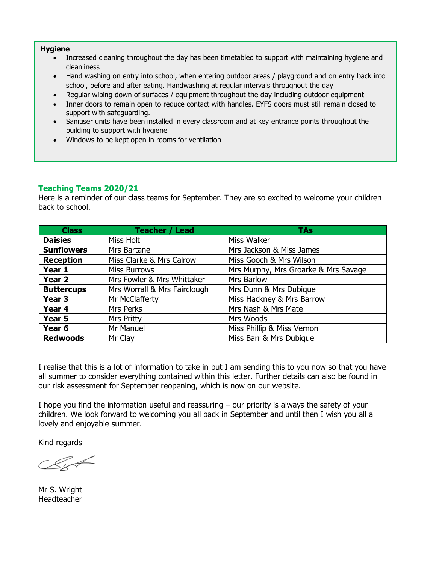#### **Hygiene**

- Increased cleaning throughout the day has been timetabled to support with maintaining hygiene and cleanliness
- Hand washing on entry into school, when entering outdoor areas / playground and on entry back into school, before and after eating. Handwashing at regular intervals throughout the day
- Regular wiping down of surfaces / equipment throughout the day including outdoor equipment
- Inner doors to remain open to reduce contact with handles. EYFS doors must still remain closed to support with safeguarding.
- Sanitiser units have been installed in every classroom and at key entrance points throughout the building to support with hygiene
- Windows to be kept open in rooms for ventilation

#### **Teaching Teams 2020/21**

Here is a reminder of our class teams for September. They are so excited to welcome your children back to school.

| <b>Class</b>      | <b>Teacher / Lead</b>        | <b>TAs</b>                           |
|-------------------|------------------------------|--------------------------------------|
| <b>Daisies</b>    | Miss Holt                    | Miss Walker                          |
| <b>Sunflowers</b> | Mrs Bartane                  | Mrs Jackson & Miss James             |
| <b>Reception</b>  | Miss Clarke & Mrs Calrow     | Miss Gooch & Mrs Wilson              |
| Year 1            | <b>Miss Burrows</b>          | Mrs Murphy, Mrs Groarke & Mrs Savage |
| Year 2            | Mrs Fowler & Mrs Whittaker   | Mrs Barlow                           |
| <b>Buttercups</b> | Mrs Worrall & Mrs Fairclough | Mrs Dunn & Mrs Dubique               |
| Year <sub>3</sub> | Mr McClafferty               | Miss Hackney & Mrs Barrow            |
| Year 4            | Mrs Perks                    | Mrs Nash & Mrs Mate                  |
| Year 5            | Mrs Pritty                   | Mrs Woods                            |
| Year 6            | Mr Manuel                    | Miss Phillip & Miss Vernon           |
| <b>Redwoods</b>   | Mr Clay                      | Miss Barr & Mrs Dubique              |

I realise that this is a lot of information to take in but I am sending this to you now so that you have all summer to consider everything contained within this letter. Further details can also be found in our risk assessment for September reopening, which is now on our website.

I hope you find the information useful and reassuring – our priority is always the safety of your children. We look forward to welcoming you all back in September and until then I wish you all a lovely and enjoyable summer.

Kind regards

Mr S. Wright **Headteacher**